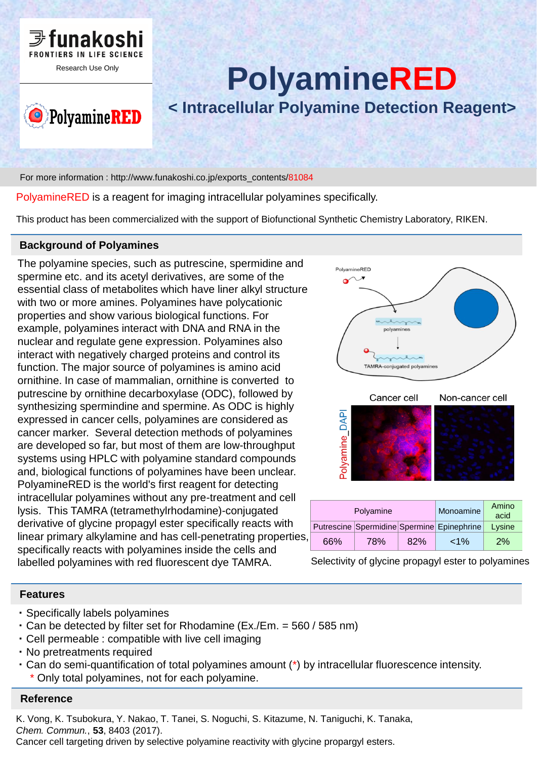



# **PolyamineRED**

**< Intracellular Polyamine Detection Reagent>**

For more information : http://www.funakoshi.co.jp/exports\_contents/81084

PolyamineRED is a reagent for imaging intracellular polyamines specifically.

This product has been commercialized with the support of Biofunctional Synthetic Chemistry Laboratory, RIKEN.

#### **Background of Polyamines**

The polyamine species, such as putrescine, spermidine and spermine etc. and its acetyl derivatives, are some of the essential class of metabolites which have liner alkyl structure with two or more amines. Polyamines have polycationic properties and show various biological functions. For example, polyamines interact with DNA and RNA in the nuclear and regulate gene expression. Polyamines also interact with negatively charged proteins and control its function. The major source of polyamines is amino acid ornithine. In case of mammalian, ornithine is converted to putrescine by ornithine decarboxylase (ODC), followed by synthesizing spermindine and spermine. As ODC is highly expressed in cancer cells, polyamines are considered as cancer marker. Several detection methods of polyamines are developed so far, but most of them are low-throughput systems using HPLC with polyamine standard compounds and, biological functions of polyamines have been unclear. PolyamineRED is the world's first reagent for detecting intracellular polyamines without any pre-treatment and cell lysis. This TAMRA (tetramethylrhodamine)-conjugated derivative of glycine propagyl ester specifically reacts with linear primary alkylamine and has cell-penetrating properties, specifically reacts with polyamines inside the cells and labelled polyamines with red fluorescent dye TAMRA.



Selectivity of glycine propagyl ester to polyamines

### **Features**

- ・ Specifically labels polyamines
- $\cdot$  Can be detected by filter set for Rhodamine (Ex./Em. = 560 / 585 nm)
- ・ Cell permeable : compatible with live cell imaging
- ・ No pretreatments required
- ・ Can do semi-quantification of total polyamines amount (\*) by intracellular fluorescence intensity. Only total polyamines, not for each polyamine.

### **Reference**

K. Vong, K. Tsubokura, Y. Nakao, T. Tanei, S. Noguchi, S. Kitazume, N. Taniguchi, K. Tanaka, *Chem. Commun.*, **53**, 8403 (2017). Cancer cell targeting driven by selective polyamine reactivity with glycine propargyl esters.